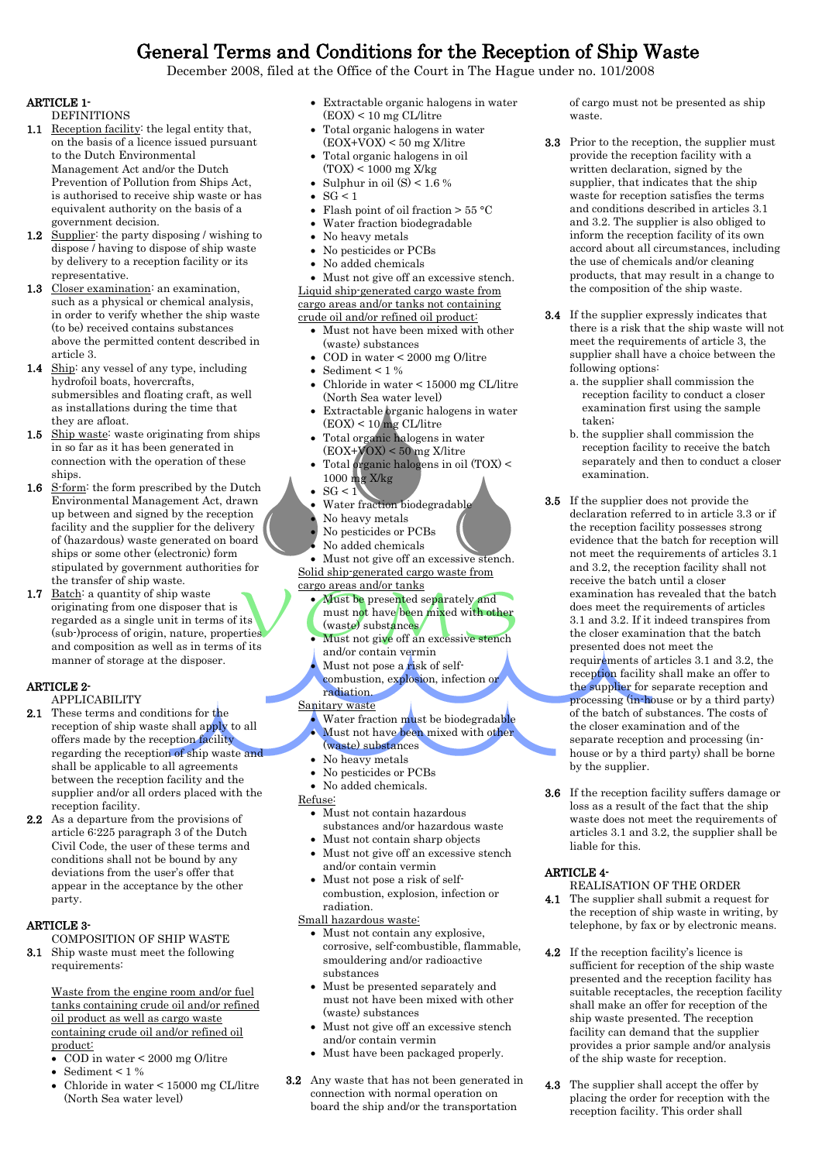# General Terms and Conditions for the Reception of Ship Waste

December 2008, filed at the Office of the Court in The Hague under no. 101/2008

### ARTICLE 1-

**DEFINITIONS** 

- 1.1 <u>Reception facility</u>: the legal entity that, on the basis of a licence issued pursuant to the Dutch Environmental Management Act and/or the Dutch Prevention of Pollution from Ships Act, is authorised to receive ship waste or has equivalent authority on the basis of a government decision.
- 1.2 Supplier: the party disposing / wishing to dispose / having to dispose of ship waste by delivery to a reception facility or its representative.
- 1.3 Closer examination: an examination, such as a physical or chemical analysis, in order to verify whether the ship waste (to be) received contains substances above the permitted content described in article 3.
- 1.4 Ship: any vessel of any type, including hydrofoil boats, hovercrafts, submersibles and floating craft, as well as installations during the time that they are afloat.
- 1.5 Ship waste: waste originating from ships in so far as it has been generated in connection with the operation of these ships.
- 1.6 S-form: the form prescribed by the Dutch Environmental Management Act, drawn up between and signed by the reception facility and the supplier for the delivery of (hazardous) waste generated on board ships or some other (electronic) form stipulated by government authorities for the transfer of ship waste.
- 1.7 Batch: a quantity of ship waste originating from one disposer that is regarded as a single unit in terms of its (sub-)process of origin, nature, properties and composition as well as in terms of its manner of storage at the disposer.

# ARTICLE 2-

- APPLICABILITY
- 2.1 These terms and conditions for the reception of ship waste shall apply to all offers made by the reception facility regarding the reception of ship waste and shall be applicable to all agreements between the reception facility and the supplier and/or all orders placed with the reception facility.
- 2.2 As a departure from the provisions of article 6:225 paragraph 3 of the Dutch Civil Code, the user of these terms and conditions shall not be bound by any deviations from the user's offer that appear in the acceptance by the other party.

## ARTICLE 3-

COMPOSITION OF SHIP WASTE

3.1 Ship waste must meet the following requirements:

> Waste from the engine room and/or fuel tanks containing crude oil and/or refined oil product as well as cargo waste containing crude oil and/or refined oil product:

- COD in water < 2000 mg O/litre
- Sediment < 1 %
- Chloride in water < 15000 mg CL/litre (North Sea water level)
- Extractable organic halogens in water (EOX) < 10 mg CL/litre
- Total organic halogens in water (EOX+VOX) < 50 mg X/litre
- Total organic halogens in oil (TOX) < 1000 mg X/kg
- Sulphur in oil  $(S) < 1.6$  %
- $\bullet$  SG < 1
- Flash point of oil fraction  $> 55 °C$
- Water fraction biodegradable
- No heavy metals
- No pesticides or PCBs
- No added chemicals
- Must not give off an excessive stench. Liquid ship-generated cargo waste from cargo areas and/or tanks not containing crude oil and/or refined oil product:
	- Must not have been mixed with other (waste) substances
	- COD in water < 2000 mg O/litre
	- Sediment < 1 %
	- Chloride in water < 15000 mg CL/litre (North Sea water level)
	- Extractable organic halogens in water  $(EOX) < 10$  mg CL/litre
	- Total organic halogens in water (EOX+VOX) < 50 mg X/litre
	- Total organic halogens in oil (TOX) < 1000 mg X/kg
	- $SG < 1$
	- Water fraction biodegradable
	- No heavy metals
	- No pesticides or PCBs
	- No added chemicals

• Must not give off an excessive stench. Solid ship-generated cargo waste from cargo areas and/or tanks

- Must be presented separately and
- must not have been mixed with other (waste) substances
- Must not give off an excessive stench and/or contain vermin Must not pose a risk of self-
- combustion, explosion, infection or

radiation. Sanitary waste

- Water fraction must be biodegradable
- Must not have been mixed with other (waste) substances
- No heavy metals
- No pesticides or PCBs
- No added chemicals.

#### Refuse:

- Must not contain hazardous substances and/or hazardous waste
- Must not contain sharp objects Must not give off an excessive stench
- and/or contain vermin Must not pose a risk of self-
- combustion, explosion, infection or radiation.

Small hazardous waste:

- Must not contain any explosive, corrosive, self-combustible, flammable, smouldering and/or radioactive substances
- Must be presented separately and must not have been mixed with other (waste) substances
- Must not give off an excessive stench and/or contain vermin
- Must have been packaged properly.
- 3.2 Any waste that has not been generated in connection with normal operation on board the ship and/or the transportation

of cargo must not be presented as ship waste.

- 3.3 Prior to the reception, the supplier must provide the reception facility with a written declaration, signed by the supplier, that indicates that the ship waste for reception satisfies the terms and conditions described in articles 3.1 and 3.2. The supplier is also obliged to inform the reception facility of its own accord about all circumstances, including the use of chemicals and/or cleaning products, that may result in a change to the composition of the ship waste.
- 3.4 If the supplier expressly indicates that there is a risk that the ship waste will not meet the requirements of article 3, the supplier shall have a choice between the following options:
	- a. the supplier shall commission the reception facility to conduct a closer examination first using the sample taken;
	- b. the supplier shall commission the reception facility to receive the batch separately and then to conduct a closer examination.
- 3.5 If the supplier does not provide the declaration referred to in article 3.3 or if the reception facility possesses strong evidence that the batch for reception will not meet the requirements of articles 3.1 and 3.2, the reception facility shall not receive the batch until a closer examination has revealed that the batch does meet the requirements of articles 3.1 and 3.2. If it indeed transpires from the closer examination that the batch presented does not meet the requirements of articles 3.1 and 3.2, the reception facility shall make an offer to the supplier for separate reception and processing (in-house or by a third party) of the batch of substances. The costs of the closer examination and of the separate reception and processing (inhouse or by a third party) shall be borne by the supplier.
- 3.6 If the reception facility suffers damage or loss as a result of the fact that the ship waste does not meet the requirements of articles 3.1 and 3.2, the supplier shall be liable for this.

#### ARTICLE 4-

REALISATION OF THE ORDER

- 4.1 The supplier shall submit a request for the reception of ship waste in writing, by telephone, by fax or by electronic means.
- 4.2 If the reception facility's licence is sufficient for reception of the ship waste presented and the reception facility has suitable receptacles, the reception facility shall make an offer for reception of the ship waste presented. The reception facility can demand that the supplier provides a prior sample and/or analysis of the ship waste for reception.
- 4.3 The supplier shall accept the offer by placing the order for reception with the reception facility. This order shall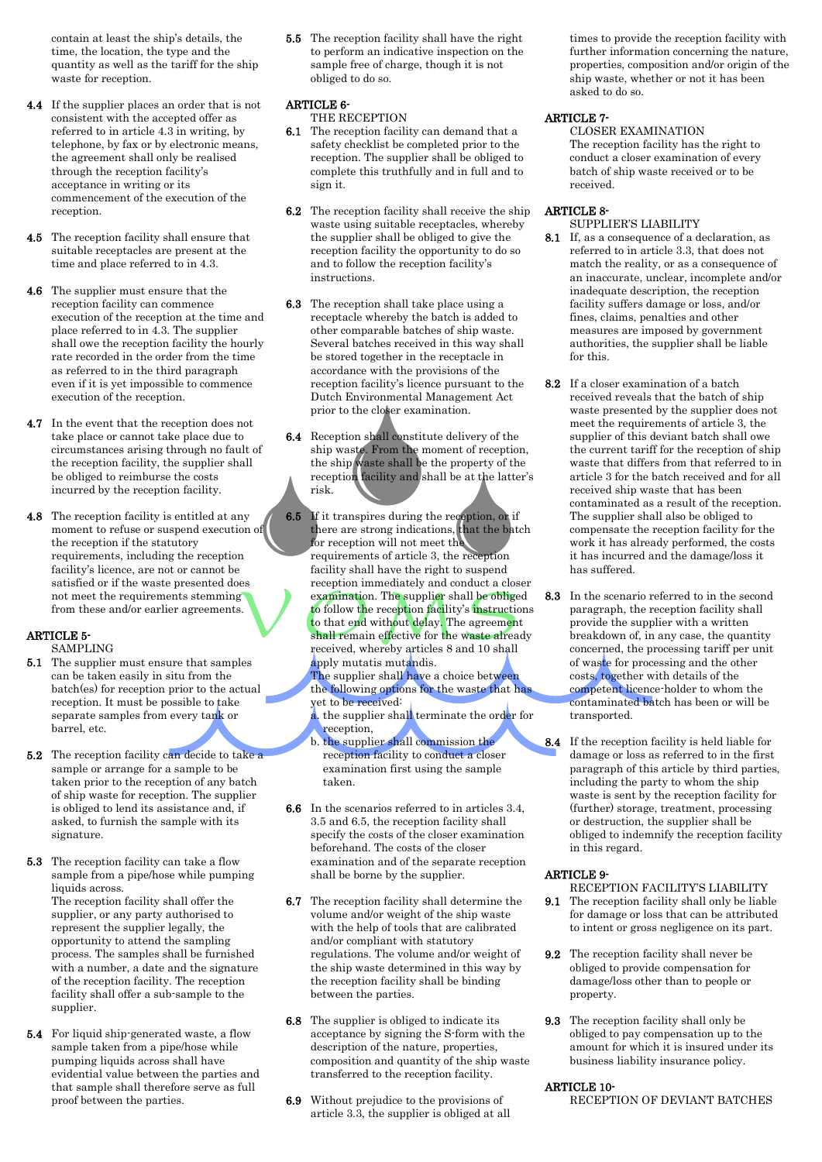contain at least the ship's details, the time, the location, the type and the quantity as well as the tariff for the ship waste for reception.

- 4.4 If the supplier places an order that is not consistent with the accepted offer as referred to in article 4.3 in writing, by telephone, by fax or by electronic means, the agreement shall only be realised through the reception facility's acceptance in writing or its commencement of the execution of the reception.
- 4.5 The reception facility shall ensure that suitable receptacles are present at the time and place referred to in 4.3.
- 4.6 The supplier must ensure that the reception facility can commence execution of the reception at the time and place referred to in 4.3. The supplier shall owe the reception facility the hourly rate recorded in the order from the time as referred to in the third paragraph even if it is yet impossible to commence execution of the reception.
- 4.7 In the event that the reception does not take place or cannot take place due to circumstances arising through no fault of the reception facility, the supplier shall be obliged to reimburse the costs incurred by the reception facility.
- 4.8 The reception facility is entitled at any moment to refuse or suspend execution of the reception if the statutory requirements, including the reception facility's licence, are not or cannot be satisfied or if the waste presented does not meet the requirements stemming from these and/or earlier agreements.

## ARTICLE 5-

- SAMPLING 5.1 The supplier must ensure that samples can be taken easily in situ from the batch(es) for reception prior to the actual reception. It must be possible to take separate samples from every tank or barrel, etc.
- 5.2 The reception facility can decide to take a sample or arrange for a sample to be taken prior to the reception of any batch of ship waste for reception. The supplier is obliged to lend its assistance and, if asked, to furnish the sample with its signature.
- 5.3 The reception facility can take a flow sample from a pipe/hose while pumping liquids across. The reception facility shall offer the supplier, or any party authorised to

represent the supplier legally, the opportunity to attend the sampling process. The samples shall be furnished with a number, a date and the signature of the reception facility. The reception facility shall offer a sub-sample to the supplier.

5.4 For liquid ship-generated waste, a flow sample taken from a pipe/hose while pumping liquids across shall have evidential value between the parties and that sample shall therefore serve as full proof between the parties.

5.5 The reception facility shall have the right to perform an indicative inspection on the sample free of charge, though it is not obliged to do so.

# ARTICLE 6-

- THE RECEPTION
- 6.1 The reception facility can demand that a safety checklist be completed prior to the reception. The supplier shall be obliged to complete this truthfully and in full and to sign it.
- 6.2 The reception facility shall receive the ship waste using suitable receptacles, whereby the supplier shall be obliged to give the reception facility the opportunity to do so and to follow the reception facility's instructions.
- 6.3 The reception shall take place using a receptacle whereby the batch is added to other comparable batches of ship waste. Several batches received in this way shall be stored together in the receptacle in accordance with the provisions of the reception facility's licence pursuant to the Dutch Environmental Management Act prior to the closer examination.
- 6.4 Reception shall constitute delivery of the ship waste. From the moment of reception, the ship waste shall be the property of the reception facility and shall be at the latter's risk.
- **6.5** If it transpires during the reception, or if there are strong indications, that the batch for reception will not meet the requirements of article 3, the reception facility shall have the right to suspend reception immediately and conduct a closer examination. The supplier shall be obliged to follow the reception facility's instructions to that end without delay. The agreement shall remain effective for the waste already received, whereby articles 8 and 10 shall apply mutatis mutandis. The supplier shall have a choice between

the following options for the waste that has yet to be received:

a. the supplier shall terminate the order for reception,

- b. the supplier shall commission the reception facility to conduct a closer examination first using the sample taken.
- 6.6 In the scenarios referred to in articles 3.4, 3.5 and 6.5, the reception facility shall specify the costs of the closer examination beforehand. The costs of the closer examination and of the separate reception shall be borne by the supplier.
- 6.7 The reception facility shall determine the volume and/or weight of the ship waste with the help of tools that are calibrated and/or compliant with statutory regulations. The volume and/or weight of the ship waste determined in this way by the reception facility shall be binding between the parties.
- 6.8 The supplier is obliged to indicate its acceptance by signing the S-form with the description of the nature, properties, composition and quantity of the ship waste transferred to the reception facility.
- 6.9 Without prejudice to the provisions of article 3.3, the supplier is obliged at all

times to provide the reception facility with further information concerning the nature, properties, composition and/or origin of the ship waste, whether or not it has been asked to do so.

# ARTICLE 7-

CLOSER EXAMINATION The reception facility has the right to conduct a closer examination of every batch of ship waste received or to be received.

# ARTICLE 8-

- SUPPLIER'S LIABILITY 8.1 If, as a consequence of a declaration, as referred to in article 3.3, that does not match the reality, or as a consequence of an inaccurate, unclear, incomplete and/or inadequate description, the reception facility suffers damage or loss, and/or fines, claims, penalties and other measures are imposed by government authorities, the supplier shall be liable for this.
- 8.2 If a closer examination of a batch received reveals that the batch of ship waste presented by the supplier does not meet the requirements of article 3, the supplier of this deviant batch shall owe the current tariff for the reception of ship waste that differs from that referred to in article 3 for the batch received and for all received ship waste that has been contaminated as a result of the reception. The supplier shall also be obliged to compensate the reception facility for the work it has already performed, the costs it has incurred and the damage/loss it has suffered.
- 8.3 In the scenario referred to in the second paragraph, the reception facility shall provide the supplier with a written breakdown of, in any case, the quantity concerned, the processing tariff per unit of waste for processing and the other costs, together with details of the competent licence-holder to whom the contaminated batch has been or will be transported.
- 8.4 If the reception facility is held liable for damage or loss as referred to in the first paragraph of this article by third parties, including the party to whom the ship waste is sent by the reception facility for (further) storage, treatment, processing or destruction, the supplier shall be obliged to indemnify the reception facility in this regard.

# ARTICLE 9-

- RECEPTION FACILITY'S LIABILITY
- 9.1 The reception facility shall only be liable for damage or loss that can be attributed to intent or gross negligence on its part.
- 9.2 The reception facility shall never be obliged to provide compensation for damage/loss other than to people or property.
- 9.3 The reception facility shall only be obliged to pay compensation up to the amount for which it is insured under its business liability insurance policy.

# ARTICLE 10-

RECEPTION OF DEVIANT BATCHES